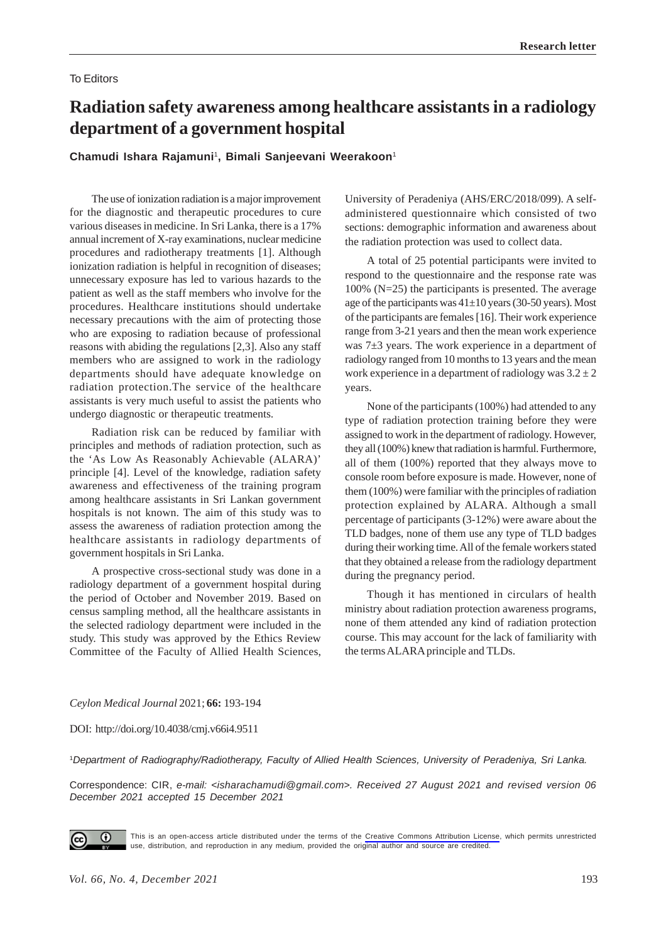## To Editors

# **Radiation safety awareness among healthcare assistants in a radiology department of a government hospital**

**Chamudi Ishara Rajamuni**1**, Bimali Sanjeevani Weerakoon**<sup>1</sup>

The use of ionization radiation is a major improvement for the diagnostic and therapeutic procedures to cure various diseases in medicine. In Sri Lanka, there is a 17% annual increment of X-ray examinations, nuclear medicine procedures and radiotherapy treatments [1]. Although ionization radiation is helpful in recognition of diseases; unnecessary exposure has led to various hazards to the patient as well as the staff members who involve for the procedures. Healthcare institutions should undertake necessary precautions with the aim of protecting those who are exposing to radiation because of professional reasons with abiding the regulations [2,3]. Also any staff members who are assigned to work in the radiology departments should have adequate knowledge on radiation protection.The service of the healthcare assistants is very much useful to assist the patients who undergo diagnostic or therapeutic treatments.

Radiation risk can be reduced by familiar with principles and methods of radiation protection, such as the 'As Low As Reasonably Achievable (ALARA)' principle [4]. Level of the knowledge, radiation safety awareness and effectiveness of the training program among healthcare assistants in Sri Lankan government hospitals is not known. The aim of this study was to assess the awareness of radiation protection among the healthcare assistants in radiology departments of government hospitals in Sri Lanka.

A prospective cross-sectional study was done in a radiology department of a government hospital during the period of October and November 2019. Based on census sampling method, all the healthcare assistants in the selected radiology department were included in the study. This study was approved by the Ethics Review Committee of the Faculty of Allied Health Sciences,

University of Peradeniya (AHS/ERC/2018/099). A selfadministered questionnaire which consisted of two sections: demographic information and awareness about the radiation protection was used to collect data.

A total of 25 potential participants were invited to respond to the questionnaire and the response rate was  $100\%$  (N=25) the participants is presented. The average age of the participants was  $41\pm10$  years (30-50 years). Most of the participants are females [16]. Their work experience range from 3-21 years and then the mean work experience was 7±3 years. The work experience in a department of radiology ranged from 10 months to 13 years and the mean work experience in a department of radiology was  $3.2 \pm 2$ years.

None of the participants (100%) had attended to any type of radiation protection training before they were assigned to work in the department of radiology. However, they all (100%) knew that radiation is harmful. Furthermore, all of them (100%) reported that they always move to console room before exposure is made. However, none of them (100%) were familiar with the principles of radiation protection explained by ALARA. Although a small percentage of participants (3-12%) were aware about the TLD badges, none of them use any type of TLD badges during their working time. All of the female workers stated that they obtained a release from the radiology department during the pregnancy period.

Though it has mentioned in circulars of health ministry about radiation protection awareness programs, none of them attended any kind of radiation protection course. This may account for the lack of familiarity with the terms ALARA principle and TLDs.

*Ceylon Medical Journal* 2021; **66:** 193-194

DOI: http://doi.org/10.4038/cmj.v66i4.9511

<sup>1</sup>*Department of Radiography/Radiotherapy, Faculty of Allied Health Sciences, University of Peradeniya, Sri Lanka.*

Correspondence: CIR, *e-mail: <isharachamudi@gmail.com>. Received 27 August 2021 and revised version 06 December 2021 accepted 15 December 2021*



This is an open-access article distributed under the terms of the [Creative Commons Attribution License](https://creativecommons.org/licenses/by/4.0/legalcode), which permits unrestricted use, distribution, and reproduction in any medium, provided the original author and source are credited.